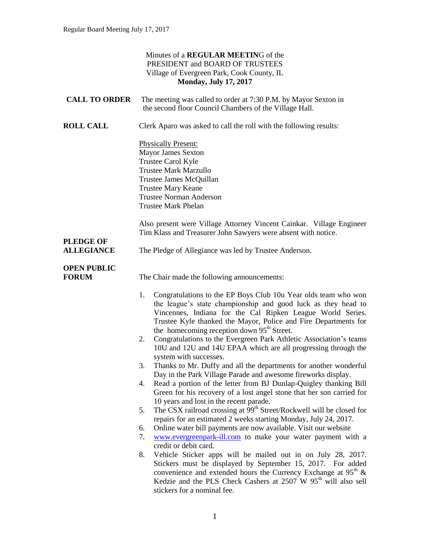|                                       | Minutes of a REGULAR MEETING of the<br>PRESIDENT and BOARD OF TRUSTEES<br>Village of Evergreen Park, Cook County, IL<br><b>Monday, July 17, 2017</b>                                                                                                                                                                                                                                                                                                                                                                                                                                                                                                                                                                                                                                                                                                                                                                                                                                                                                                                                                                                                                                     |
|---------------------------------------|------------------------------------------------------------------------------------------------------------------------------------------------------------------------------------------------------------------------------------------------------------------------------------------------------------------------------------------------------------------------------------------------------------------------------------------------------------------------------------------------------------------------------------------------------------------------------------------------------------------------------------------------------------------------------------------------------------------------------------------------------------------------------------------------------------------------------------------------------------------------------------------------------------------------------------------------------------------------------------------------------------------------------------------------------------------------------------------------------------------------------------------------------------------------------------------|
| <b>CALL TO ORDER</b>                  | The meeting was called to order at 7:30 P.M. by Mayor Sexton in<br>the second floor Council Chambers of the Village Hall.                                                                                                                                                                                                                                                                                                                                                                                                                                                                                                                                                                                                                                                                                                                                                                                                                                                                                                                                                                                                                                                                |
| <b>ROLL CALL</b>                      | Clerk Aparo was asked to call the roll with the following results:                                                                                                                                                                                                                                                                                                                                                                                                                                                                                                                                                                                                                                                                                                                                                                                                                                                                                                                                                                                                                                                                                                                       |
|                                       | <b>Physically Present:</b><br><b>Mayor James Sexton</b><br>Trustee Carol Kyle<br><b>Trustee Mark Marzullo</b><br>Trustee James McQuillan<br><b>Trustee Mary Keane</b><br><b>Trustee Norman Anderson</b><br><b>Trustee Mark Phelan</b>                                                                                                                                                                                                                                                                                                                                                                                                                                                                                                                                                                                                                                                                                                                                                                                                                                                                                                                                                    |
|                                       | Also present were Village Attorney Vincent Cainkar. Village Engineer<br>Tim Klass and Treasurer John Sawyers were absent with notice.                                                                                                                                                                                                                                                                                                                                                                                                                                                                                                                                                                                                                                                                                                                                                                                                                                                                                                                                                                                                                                                    |
| <b>PLEDGE OF</b><br><b>ALLEGIANCE</b> | The Pledge of Allegiance was led by Trustee Anderson.                                                                                                                                                                                                                                                                                                                                                                                                                                                                                                                                                                                                                                                                                                                                                                                                                                                                                                                                                                                                                                                                                                                                    |
| <b>OPEN PUBLIC</b><br><b>FORUM</b>    | The Chair made the following announcements:                                                                                                                                                                                                                                                                                                                                                                                                                                                                                                                                                                                                                                                                                                                                                                                                                                                                                                                                                                                                                                                                                                                                              |
|                                       | Congratulations to the EP Boys Club 10u Year olds team who won<br>1.<br>the league's state championship and good luck as they head to<br>Vincennes, Indiana for the Cal Ripken League World Series.<br>Trustee Kyle thanked the Mayor, Police and Fire Departments for<br>the homecoming reception down 95 <sup>th</sup> Street.<br>Congratulations to the Evergreen Park Athletic Association's teams<br>2.<br>10U and 12U and 14U EPAA which are all progressing through the<br>system with successes.<br>Thanks to Mr. Duffy and all the departments for another wonderful<br>3.<br>Day in the Park Village Parade and awesome fireworks display.<br>Read a portion of the letter from BJ Dunlap-Quigley thanking Bill<br>4.<br>Green for his recovery of a lost angel stone that her son carried for<br>10 years and lost in the recent parade.<br>The CSX railroad crossing at 99 <sup>th</sup> Street/Rockwell will be closed for<br>5.<br>repairs for an estimated 2 weeks starting Monday, July 24, 2017.<br>Online water bill payments are now available. Visit our website<br>6.<br>www.evergreenpark-ill.com to make your water payment with a<br>7.<br>credit or debit card. |
|                                       | Vehicle Sticker apps will be mailed out in on July 28, 2017.<br>8.<br>Stickers must be displayed by September 15, 2017. For added<br>convenience and extended hours the Currency Exchange at $95th$ &<br>Kedzie and the PLS Check Cashers at 2507 W 95 <sup>th</sup> will also sell<br>stickers for a nominal fee.                                                                                                                                                                                                                                                                                                                                                                                                                                                                                                                                                                                                                                                                                                                                                                                                                                                                       |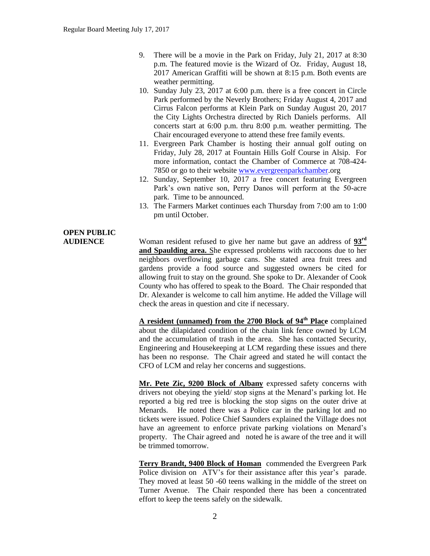- 9. There will be a movie in the Park on Friday, July 21, 2017 at 8:30 p.m. The featured movie is the Wizard of Oz. Friday, August 18, 2017 American Graffiti will be shown at 8:15 p.m. Both events are weather permitting.
- 10. Sunday July 23, 2017 at 6:00 p.m. there is a free concert in Circle Park performed by the Neverly Brothers; Friday August 4, 2017 and Cirrus Falcon performs at Klein Park on Sunday August 20, 2017 the City Lights Orchestra directed by Rich Daniels performs. All concerts start at 6:00 p.m. thru 8:00 p.m. weather permitting. The Chair encouraged everyone to attend these free family events.
- 11. Evergreen Park Chamber is hosting their annual golf outing on Friday, July 28, 2017 at Fountain Hills Golf Course in Alsip. For more information, contact the Chamber of Commerce at 708-424- 7850 or go to their website [www.evergreenparkchamber.](http://www.evergreenparkchamber/)org
- 12. Sunday, September 10, 2017 a free concert featuring Evergreen Park's own native son, Perry Danos will perform at the 50-acre park. Time to be announced.
- 13. The Farmers Market continues each Thursday from 7:00 am to 1:00 pm until October.

# **OPEN PUBLIC**

**AUDIENCE** Woman resident refused to give her name but gave an address of **93rd and Spaulding area.** She expressed problems with raccoons due to her neighbors overflowing garbage cans. She stated area fruit trees and gardens provide a food source and suggested owners be cited for allowing fruit to stay on the ground. She spoke to Dr. Alexander of Cook County who has offered to speak to the Board. The Chair responded that Dr. Alexander is welcome to call him anytime. He added the Village will check the areas in question and cite if necessary.

> **A resident (unnamed) from the 2700 Block of 94th Place** complained about the dilapidated condition of the chain link fence owned by LCM and the accumulation of trash in the area. She has contacted Security, Engineering and Housekeeping at LCM regarding these issues and there has been no response. The Chair agreed and stated he will contact the CFO of LCM and relay her concerns and suggestions.

> **Mr. Pete Zic, 9200 Block of Albany** expressed safety concerns with drivers not obeying the yield/ stop signs at the Menard's parking lot. He reported a big red tree is blocking the stop signs on the outer drive at Menards. He noted there was a Police car in the parking lot and no tickets were issued. Police Chief Saunders explained the Village does not have an agreement to enforce private parking violations on Menard's property. The Chair agreed and noted he is aware of the tree and it will be trimmed tomorrow.

> **Terry Brandt, 9400 Block of Homan** commended the Evergreen Park Police division on ATV's for their assistance after this year's parade. They moved at least 50 -60 teens walking in the middle of the street on Turner Avenue. The Chair responded there has been a concentrated effort to keep the teens safely on the sidewalk.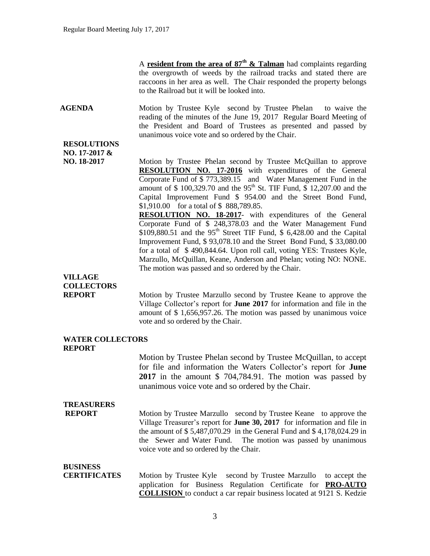A **resident from the area of 87th & Talman** had complaints regarding the overgrowth of weeds by the railroad tracks and stated there are raccoons in her area as well. The Chair responded the property belongs to the Railroad but it will be looked into.

**AGENDA** Motion by Trustee Kyle second by Trustee Phelan to waive the reading of the minutes of the June 19, 2017 Regular Board Meeting of the President and Board of Trustees as presented and passed by unanimous voice vote and so ordered by the Chair.

#### **RESOLUTIONS NO. 17-2017 &**

**NO. 18-2017** Motion by Trustee Phelan second by Trustee McQuillan to approve **RESOLUTION NO. 17-2016** with expenditures of the General Corporate Fund of \$ 773,389.15 and Water Management Fund in the amount of \$ 100,329.70 and the 95<sup>th</sup> St. TIF Fund, \$ 12,207.00 and the Capital Improvement Fund \$ 954.00 and the Street Bond Fund, \$1,910.00 for a total of \$ 888,789.85.

> **RESOLUTION NO. 18-2017**- with expenditures of the General Corporate Fund of \$ 248,378.03 and the Water Management Fund  $$109,880.51$  and the 95<sup>th</sup> Street TIF Fund, \$ 6,428.00 and the Capital Improvement Fund, \$ 93,078.10 and the Street Bond Fund, \$ 33,080.00 for a total of \$ 490,844.64. Upon roll call, voting YES: Trustees Kyle, Marzullo, McQuillan, Keane, Anderson and Phelan; voting NO: NONE. The motion was passed and so ordered by the Chair.

### **VILLAGE COLLECTORS**

**REPORT** Motion by Trustee Marzullo second by Trustee Keane to approve the Village Collector's report for **June 2017** for information and file in the amount of \$ 1,656,957.26. The motion was passed by unanimous voice vote and so ordered by the Chair.

#### **WATER COLLECTORS REPORT**

Motion by Trustee Phelan second by Trustee McQuillan, to accept for file and information the Waters Collector's report for **June 2017** in the amount \$ 704,784.91. The motion was passed by unanimous voice vote and so ordered by the Chair.

### **TREASURERS**

**REPORT** Motion by Trustee Marzullo second by Trustee Keane to approve the Village Treasurer's report for **June 30, 2017** for information and file in the amount of \$ 5,487,070.29 in the General Fund and \$ 4,178,024.29 in the Sewer and Water Fund. The motion was passed by unanimous voice vote and so ordered by the Chair.

#### **BUSINESS**

**CERTIFICATES** Motion by Trustee Kyle second by Trustee Marzullo to accept the application for Business Regulation Certificate for **PRO-AUTO COLLISION** to conduct a car repair business located at 9121 S. Kedzie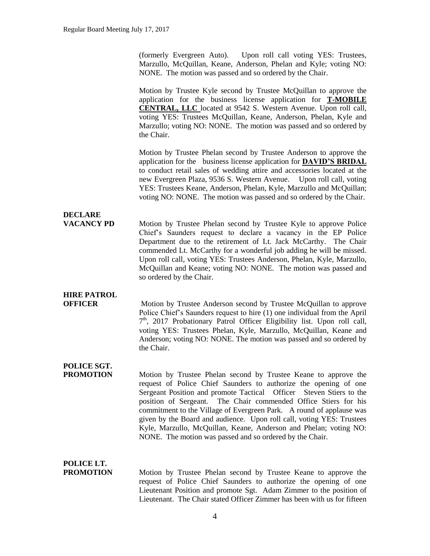(formerly Evergreen Auto). Upon roll call voting YES: Trustees, Marzullo, McQuillan, Keane, Anderson, Phelan and Kyle; voting NO: NONE. The motion was passed and so ordered by the Chair.

Motion by Trustee Kyle second by Trustee McQuillan to approve the application for the business license application for **T-MOBILE CENTRAL, LLC** located at 9542 S. Western Avenue. Upon roll call, voting YES: Trustees McQuillan, Keane, Anderson, Phelan, Kyle and Marzullo; voting NO: NONE. The motion was passed and so ordered by the Chair.

Motion by Trustee Phelan second by Trustee Anderson to approve the application for the business license application for **DAVID'S BRIDAL** to conduct retail sales of wedding attire and accessories located at the new Evergreen Plaza, 9536 S. Western Avenue. Upon roll call, voting YES: Trustees Keane, Anderson, Phelan, Kyle, Marzullo and McQuillan; voting NO: NONE. The motion was passed and so ordered by the Chair.

# **DECLARE**

**VACANCY PD** Motion by Trustee Phelan second by Trustee Kyle to approve Police Chief's Saunders request to declare a vacancy in the EP Police Department due to the retirement of Lt. Jack McCarthy. The Chair commended Lt. McCarthy for a wonderful job adding he will be missed. Upon roll call, voting YES: Trustees Anderson, Phelan, Kyle, Marzullo, McQuillan and Keane; voting NO: NONE. The motion was passed and so ordered by the Chair.

## **HIRE PATROL**

**OFFICER** Motion by Trustee Anderson second by Trustee McQuillan to approve Police Chief's Saunders request to hire (1) one individual from the April 7<sup>th</sup>, 2017 Probationary Patrol Officer Eligibility list. Upon roll call, voting YES: Trustees Phelan, Kyle, Marzullo, McQuillan, Keane and Anderson; voting NO: NONE. The motion was passed and so ordered by the Chair.

## **POLICE SGT.**

**PROMOTION** Motion by Trustee Phelan second by Trustee Keane to approve the request of Police Chief Saunders to authorize the opening of one Sergeant Position and promote Tactical Officer Steven Stiers to the position of Sergeant. The Chair commended Office Stiers for his commitment to the Village of Evergreen Park. A round of applause was given by the Board and audience. Upon roll call, voting YES: Trustees Kyle, Marzullo, McQuillan, Keane, Anderson and Phelan; voting NO: NONE. The motion was passed and so ordered by the Chair.

## **POLICE LT.**

**PROMOTION** Motion by Trustee Phelan second by Trustee Keane to approve the request of Police Chief Saunders to authorize the opening of one Lieutenant Position and promote Sgt. Adam Zimmer to the position of Lieutenant. The Chair stated Officer Zimmer has been with us for fifteen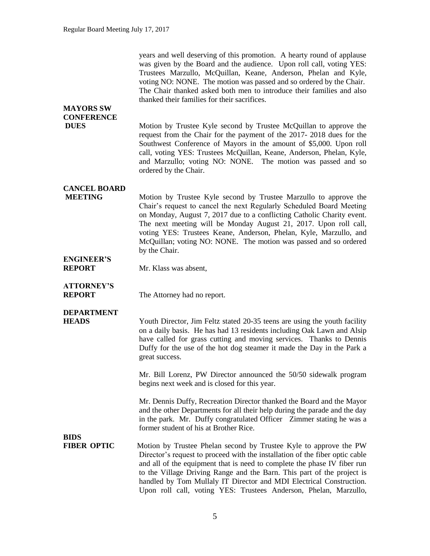years and well deserving of this promotion. A hearty round of applause was given by the Board and the audience. Upon roll call, voting YES: Trustees Marzullo, McQuillan, Keane, Anderson, Phelan and Kyle, voting NO: NONE. The motion was passed and so ordered by the Chair. The Chair thanked asked both men to introduce their families and also thanked their families for their sacrifices.

### **MAYORS SW CONFERENCE**

**DUES** Motion by Trustee Kyle second by Trustee McQuillan to approve the request from the Chair for the payment of the 2017- 2018 dues for the Southwest Conference of Mayors in the amount of \$5,000. Upon roll call, voting YES: Trustees McQuillan, Keane, Anderson, Phelan, Kyle, and Marzullo; voting NO: NONE. The motion was passed and so ordered by the Chair.

### **CANCEL BOARD**

**MEETING** Motion by Trustee Kyle second by Trustee Marzullo to approve the Chair's request to cancel the next Regularly Scheduled Board Meeting on Monday, August 7, 2017 due to a conflicting Catholic Charity event. The next meeting will be Monday August 21, 2017. Upon roll call, voting YES: Trustees Keane, Anderson, Phelan, Kyle, Marzullo, and McQuillan; voting NO: NONE. The motion was passed and so ordered by the Chair.

# **ENGINEER'S**

**REPORT** Mr. Klass was absent,

## **ATTORNEY'S**

**REPORT** The Attorney had no report.

### **DEPARTMENT**

**HEADS** Youth Director, Jim Feltz stated 20-35 teens are using the youth facility on a daily basis. He has had 13 residents including Oak Lawn and Alsip have called for grass cutting and moving services. Thanks to Dennis Duffy for the use of the hot dog steamer it made the Day in the Park a great success.

> Mr. Bill Lorenz, PW Director announced the 50/50 sidewalk program begins next week and is closed for this year.

> Mr. Dennis Duffy, Recreation Director thanked the Board and the Mayor and the other Departments for all their help during the parade and the day in the park. Mr. Duffy congratulated Officer Zimmer stating he was a former student of his at Brother Rice.

### **BIDS**

**FIBER OPTIC** Motion by Trustee Phelan second by Trustee Kyle to approve the PW Director's request to proceed with the installation of the fiber optic cable and all of the equipment that is need to complete the phase IV fiber run to the Village Driving Range and the Barn. This part of the project is handled by Tom Mullaly IT Director and MDI Electrical Construction. Upon roll call, voting YES: Trustees Anderson, Phelan, Marzullo,